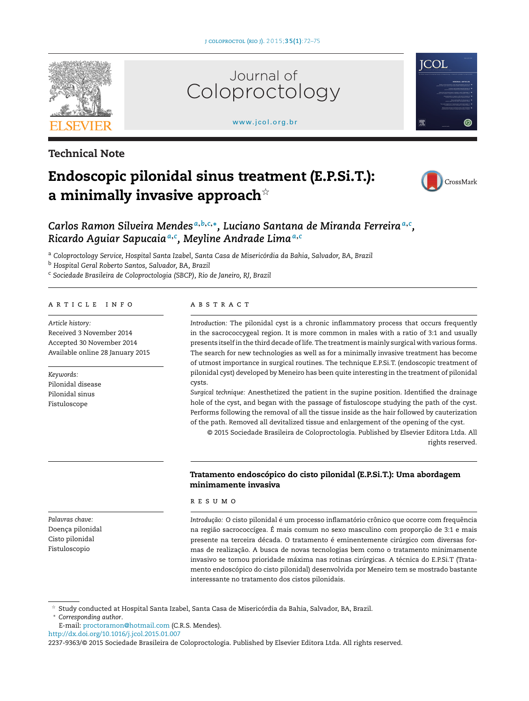[www.jcol.org.br](http://www.jcol.org.br)

Coloproctology

innal

Journal of



**Technical Note**

# **Endoscopic pilonidal sinus treatment (E.P.Si.T.): a minimally invasive approach**-



**ICOL** 

# Carlos Ramon Silveira Mendes<sup>a,b,c,</sup>\*, Luciano Santana de Miranda Ferreira<sup>a,c</sup>, *Ricardo Aguiar Sapucaia<sup>a</sup>***,***<sup>c</sup> , Meyline Andrade Lima<sup>a</sup>***,***<sup>c</sup>*

<sup>a</sup> *Coloproctology Service, Hospital Santa Izabel, Santa Casa de Misericórdia da Bahia, Salvador, BA, Brazil*

<sup>b</sup> *Hospital Geral Roberto Santos, Salvador, BA, Brazil*

<sup>c</sup> *Sociedade Brasileira de Coloproctologia (SBCP), Rio de Janeiro, RJ, Brazil*

#### ARTICLE INFO

*Article history:* Received 3 November 2014 Accepted 30 November 2014 Available online 28 January 2015

*Keywords:* Pilonidal disease Pilonidal sinus Fistuloscope

#### A B S T R A C T

*Introduction:* The pilonidal cyst is a chronic inflammatory process that occurs frequently in the sacrococcygeal region. It is more common in males with a ratio of 3:1 and usually presents itselfin the third decade oflife. The treatmentis mainly surgical with various forms. The search for new technologies as well as for a minimally invasive treatment has become of utmost importance in surgical routines. The technique E.P.Si.T. (endoscopic treatment of pilonidal cyst) developed by Meneiro has been quite interesting in the treatment of pilonidal cysts.

*Surgical technique:* Anesthetized the patient in the supine position. Identified the drainage hole of the cyst, and began with the passage of fistuloscope studying the path of the cyst. Performs following the removal of all the tissue inside as the hair followed by cauterization of the path. Removed all devitalized tissue and enlargement of the opening of the cyst.

© 2015 Sociedade Brasileira de Coloproctologia. Published by Elsevier Editora Ltda. All rights reserved.

# **Tratamento endoscópico do cisto pilonidal (E.P.Si.T.): Uma abordagem minimamente invasiva**

#### r e s u m o

*Introduc¸ão:* O cisto pilonidal é um processo inflamatório crônico que ocorre com frequência na região sacrococcígea. É mais comum no sexo masculino com proporção de 3:1 e mais presente na terceira década. O tratamento é eminentemente cirúrgico com diversas formas de realizacão. A busca de novas tecnologias bem como o tratamento minimamente invasivo se tornou prioridade máxima nas rotinas cirúrgicas. A técnica do E.P.Si.T (Tratamento endoscópico do cisto pilonidal) desenvolvida por Meneiro tem se mostrado bastante interessante no tratamento dos cistos pilonidais.

 $\forall$ Study conducted at Hospital Santa Izabel, Santa Casa de Misericórdia da Bahia, Salvador, BA, Brazil.

∗ *Corresponding author*.

E-mail: [proctoramon@hotmail.com](mailto:proctoramon@hotmail.com) (C.R.S. Mendes).

[http://dx.doi.org/10.1016/j.jcol.2015.01.007](dx.doi.org/10.1016/j.jcol.2015.01.007)

*Palavras chave:* Doença pilonidal Cisto pilonidal Fistuloscopio

<sup>2237-9363/©</sup> 2015 Sociedade Brasileira de Coloproctologia. Published by Elsevier Editora Ltda. All rights reserved.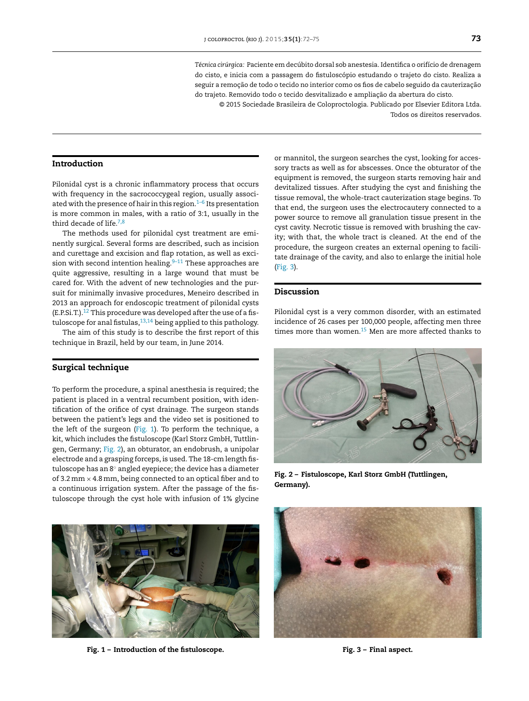*Técnica cirúrgica:* Paciente em decúbito dorsal sob anestesia. Identifica o orifício de drenagem do cisto, e inicia com a passagem do fistuloscópio estudando o trajeto do cisto. Realiza a seguir a remoção de todo o tecido no interior como os fios de cabelo seguido da cauterização do trajeto. Removido todo o tecido desvitalizado e ampliação da abertura do cisto.

© 2015 Sociedade Brasileira de Coloproctologia. Publicado por Elsevier Editora Ltda. Todos os direitos reservados.

# **Introduction**

Pilonidal cyst is a chronic inflammatory process that occurs with frequency in the sacrococcygeal region, usually associated with the presence of hair in this region. $1-6$  Its presentation is more common in males, with a ratio of 3:1, usually in the third decade of life. $7,8$ 

The methods used for pilonidal cyst treatment are eminently surgical. Several forms are described, such as incision and curettage and excision and flap rotation, as well as excision with second intention healing. $9-11$  These approaches are quite aggressive, resulting in a large wound that must be cared for. With the advent of new technologies and the pursuit for minimally invasive procedures, Meneiro described in 2013 an approach for endoscopic treatment of pilonidal cysts (E.P.Si.T.). $^{12}$  $^{12}$  $^{12}$  This procedure was developed after the use of a fistuloscope for anal fistulas,  $13,14$  being applied to this pathology.

The aim of this study is to describe the first report of this technique in Brazil, held by our team, in June 2014.

## **Surgical technique**

To perform the procedure, a spinal anesthesia is required; the patient is placed in a ventral recumbent position, with identification of the orifice of cyst drainage. The surgeon stands between the patient's legs and the video set is positioned to the left of the surgeon (Fig. 1). To perform the technique, a kit, which includes the fistuloscope (Karl Storz GmbH, Tuttlingen, Germany; Fig. 2), an obturator, an endobrush, a unipolar electrode and a grasping forceps, is used. The 18-cm length fistuloscope has an 8◦ angled eyepiece; the device has a diameter of 3.2 mm  $\times$  4.8 mm, being connected to an optical fiber and to a continuous irrigation system. After the passage of the fistuloscope through the cyst hole with infusion of 1% glycine



**Fig. 1 – Introduction of the fistuloscope.**

or mannitol, the surgeon searches the cyst, looking for accessory tracts as well as for abscesses. Once the obturator of the equipment is removed, the surgeon starts removing hair and devitalized tissues. After studying the cyst and finishing the tissue removal, the whole-tract cauterization stage begins. To that end, the surgeon uses the electrocautery connected to a power source to remove all granulation tissue present in the cyst cavity. Necrotic tissue is removed with brushing the cavity; with that, the whole tract is cleaned. At the end of the procedure, the surgeon creates an external opening to facilitate drainage of the cavity, and also to enlarge the initial hole (Fig. 3).

## **Discussion**

Pilonidal cyst is a very common disorder, with an estimated incidence of 26 cases per 100,000 people, affecting men three times more than women[.15](#page-2-0) Men are more affected thanks to



**Fig. 2 – Fistuloscope, Karl Storz GmbH (Tuttlingen, Germany).**



**Fig. 3 – Final aspect.**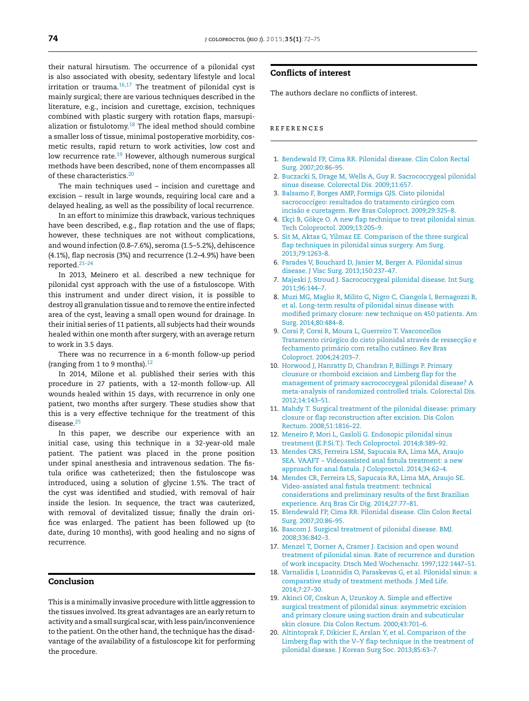<span id="page-2-0"></span>their natural hirsutism. The occurrence of a pilonidal cyst is also associated with obesity, sedentary lifestyle and local irritation or trauma. $16,17$  The treatment of pilonidal cyst is mainly surgical; there are various techniques described in the literature, e.g., incision and curettage, excision, techniques combined with plastic surgery with rotation flaps, marsupialization or fistulotomy.18 The ideal method should combine a smaller loss of tissue, minimal postoperative morbidity, cosmetic results, rapid return to work activities, low cost and low recurrence rate.<sup>19</sup> However, although numerous surgical methods have been described, none of them encompasses all of these characteristics.<sup>20</sup>

The main techniques used – incision and curettage and excision – result in large wounds, requiring local care and a delayed healing, as well as the possibility of local recurrence.

In an effort to minimize this drawback, various techniques have been described, e.g., flap rotation and the use of flaps; however, these techniques are not without complications, and wound infection (0.8–7.6%), seroma (1.5–5.2%), dehiscence (4.1%), flap necrosis (3%) and recurrence (1.2–4.9%) have been reported.[21–24](#page-3-0)

In 2013, Meinero et al. described a new technique for pilonidal cyst approach with the use of a fistuloscope. With this instrument and under direct vision, it is possible to destroy all granulation tissue and to remove the entire infected area of the cyst, leaving a small open wound for drainage. In their initial series of 11 patients, all subjects had their wounds healed within one month after surgery, with an average return to work in 3.5 days.

There was no recurrence in a 6-month follow-up period (ranging from 1 to 9 months). $12$ 

In 2014, Milone et al. published their series with this procedure in 27 patients, with a 12-month follow-up. All wounds healed within 15 days, with recurrence in only one patient, two months after surgery. These studies show that this is a very effective technique for the treatment of this disease.<sup>25</sup>

In this paper, we describe our experience with an initial case, using this technique in a 32-year-old male patient. The patient was placed in the prone position under spinal anesthesia and intravenous sedation. The fistula orifice was catheterized; then the fistuloscope was introduced, using a solution of glycine 1.5%. The tract of the cyst was identified and studied, with removal of hair inside the lesion. In sequence, the tract was cauterized, with removal of devitalized tissue; finally the drain orifice was enlarged. The patient has been followed up (to date, during 10 months), with good healing and no signs of recurrence.

# **Conclusion**

This is a minimally invasive procedure with little aggression to the tissues involved. Its great advantages are an early return to activity and a small surgical scar, with less pain/inconvenience to the patient. On the other hand, the technique has the disadvantage of the availability of a fistuloscope kit for performing the procedure.

# **Conflicts of interest**

The authors declare no conflicts of interest.

#### r e f e r enc e s

- 1. [Bendewald](http://refhub.elsevier.com/S2237-9363(15)00010-6/sbref0130) [FP,](http://refhub.elsevier.com/S2237-9363(15)00010-6/sbref0130) [Cima](http://refhub.elsevier.com/S2237-9363(15)00010-6/sbref0130) [RR.](http://refhub.elsevier.com/S2237-9363(15)00010-6/sbref0130) [Pilonidal](http://refhub.elsevier.com/S2237-9363(15)00010-6/sbref0130) [disease.](http://refhub.elsevier.com/S2237-9363(15)00010-6/sbref0130) [Clin](http://refhub.elsevier.com/S2237-9363(15)00010-6/sbref0130) [Colon](http://refhub.elsevier.com/S2237-9363(15)00010-6/sbref0130) [Rectal](http://refhub.elsevier.com/S2237-9363(15)00010-6/sbref0130) [Surg.](http://refhub.elsevier.com/S2237-9363(15)00010-6/sbref0130) [2007;20:86](http://refhub.elsevier.com/S2237-9363(15)00010-6/sbref0130)–[95.](http://refhub.elsevier.com/S2237-9363(15)00010-6/sbref0130)
- 2. [Buczacki](http://refhub.elsevier.com/S2237-9363(15)00010-6/sbref0135) [S,](http://refhub.elsevier.com/S2237-9363(15)00010-6/sbref0135) [Drage](http://refhub.elsevier.com/S2237-9363(15)00010-6/sbref0135) [M,](http://refhub.elsevier.com/S2237-9363(15)00010-6/sbref0135) [Wells](http://refhub.elsevier.com/S2237-9363(15)00010-6/sbref0135) [A,](http://refhub.elsevier.com/S2237-9363(15)00010-6/sbref0135) [Guy](http://refhub.elsevier.com/S2237-9363(15)00010-6/sbref0135) [R.](http://refhub.elsevier.com/S2237-9363(15)00010-6/sbref0135) [Sacrococcygeal](http://refhub.elsevier.com/S2237-9363(15)00010-6/sbref0135) [pilonidal](http://refhub.elsevier.com/S2237-9363(15)00010-6/sbref0135) [sinus](http://refhub.elsevier.com/S2237-9363(15)00010-6/sbref0135) [disease.](http://refhub.elsevier.com/S2237-9363(15)00010-6/sbref0135) [Colorectal](http://refhub.elsevier.com/S2237-9363(15)00010-6/sbref0135) [Dis.](http://refhub.elsevier.com/S2237-9363(15)00010-6/sbref0135) [2009;11:657.](http://refhub.elsevier.com/S2237-9363(15)00010-6/sbref0135)
- 3. [Balsamo](http://refhub.elsevier.com/S2237-9363(15)00010-6/sbref0140) [F,](http://refhub.elsevier.com/S2237-9363(15)00010-6/sbref0140) [Borges](http://refhub.elsevier.com/S2237-9363(15)00010-6/sbref0140) [AMP,](http://refhub.elsevier.com/S2237-9363(15)00010-6/sbref0140) [Formiga](http://refhub.elsevier.com/S2237-9363(15)00010-6/sbref0140) [GJS.](http://refhub.elsevier.com/S2237-9363(15)00010-6/sbref0140) [Cisto](http://refhub.elsevier.com/S2237-9363(15)00010-6/sbref0140) [pilonidal](http://refhub.elsevier.com/S2237-9363(15)00010-6/sbref0140) [sacrococcígeo:](http://refhub.elsevier.com/S2237-9363(15)00010-6/sbref0140) [resultados](http://refhub.elsevier.com/S2237-9363(15)00010-6/sbref0140) [do](http://refhub.elsevier.com/S2237-9363(15)00010-6/sbref0140) [tratamento](http://refhub.elsevier.com/S2237-9363(15)00010-6/sbref0140) [cirúrgico](http://refhub.elsevier.com/S2237-9363(15)00010-6/sbref0140) [com](http://refhub.elsevier.com/S2237-9363(15)00010-6/sbref0140) [incisão](http://refhub.elsevier.com/S2237-9363(15)00010-6/sbref0140) [e](http://refhub.elsevier.com/S2237-9363(15)00010-6/sbref0140) [curetagem.](http://refhub.elsevier.com/S2237-9363(15)00010-6/sbref0140) [Rev](http://refhub.elsevier.com/S2237-9363(15)00010-6/sbref0140) [Bras](http://refhub.elsevier.com/S2237-9363(15)00010-6/sbref0140) [Coloproct.](http://refhub.elsevier.com/S2237-9363(15)00010-6/sbref0140) [2009;29:325](http://refhub.elsevier.com/S2237-9363(15)00010-6/sbref0140)–[8.](http://refhub.elsevier.com/S2237-9363(15)00010-6/sbref0140)
- 4. Ekçi [B,](http://refhub.elsevier.com/S2237-9363(15)00010-6/sbref0145) Gökçe [O.](http://refhub.elsevier.com/S2237-9363(15)00010-6/sbref0145) [A](http://refhub.elsevier.com/S2237-9363(15)00010-6/sbref0145) [new](http://refhub.elsevier.com/S2237-9363(15)00010-6/sbref0145) [flap](http://refhub.elsevier.com/S2237-9363(15)00010-6/sbref0145) [technique](http://refhub.elsevier.com/S2237-9363(15)00010-6/sbref0145) [to](http://refhub.elsevier.com/S2237-9363(15)00010-6/sbref0145) [treat](http://refhub.elsevier.com/S2237-9363(15)00010-6/sbref0145) [pilonidal](http://refhub.elsevier.com/S2237-9363(15)00010-6/sbref0145) [sinus.](http://refhub.elsevier.com/S2237-9363(15)00010-6/sbref0145) [Tech](http://refhub.elsevier.com/S2237-9363(15)00010-6/sbref0145) [Coloproctol.](http://refhub.elsevier.com/S2237-9363(15)00010-6/sbref0145) [2009;13:205](http://refhub.elsevier.com/S2237-9363(15)00010-6/sbref0145)–[9.](http://refhub.elsevier.com/S2237-9363(15)00010-6/sbref0145)
- 5. [Sit](http://refhub.elsevier.com/S2237-9363(15)00010-6/sbref0150) [M,](http://refhub.elsevier.com/S2237-9363(15)00010-6/sbref0150) [Aktas](http://refhub.elsevier.com/S2237-9363(15)00010-6/sbref0150) [G,](http://refhub.elsevier.com/S2237-9363(15)00010-6/sbref0150) [Yilmaz](http://refhub.elsevier.com/S2237-9363(15)00010-6/sbref0150) [EE.](http://refhub.elsevier.com/S2237-9363(15)00010-6/sbref0150) [Comparison](http://refhub.elsevier.com/S2237-9363(15)00010-6/sbref0150) [of](http://refhub.elsevier.com/S2237-9363(15)00010-6/sbref0150) [the](http://refhub.elsevier.com/S2237-9363(15)00010-6/sbref0150) [three](http://refhub.elsevier.com/S2237-9363(15)00010-6/sbref0150) [surgical](http://refhub.elsevier.com/S2237-9363(15)00010-6/sbref0150) [flap](http://refhub.elsevier.com/S2237-9363(15)00010-6/sbref0150) [techniques](http://refhub.elsevier.com/S2237-9363(15)00010-6/sbref0150) [in](http://refhub.elsevier.com/S2237-9363(15)00010-6/sbref0150) [pilonidal](http://refhub.elsevier.com/S2237-9363(15)00010-6/sbref0150) [sinus](http://refhub.elsevier.com/S2237-9363(15)00010-6/sbref0150) [surgery.](http://refhub.elsevier.com/S2237-9363(15)00010-6/sbref0150) [Am](http://refhub.elsevier.com/S2237-9363(15)00010-6/sbref0150) [Surg.](http://refhub.elsevier.com/S2237-9363(15)00010-6/sbref0150) [2013;79:1263–8.](http://refhub.elsevier.com/S2237-9363(15)00010-6/sbref0150)
- 6. [Parades](http://refhub.elsevier.com/S2237-9363(15)00010-6/sbref0155) [V,](http://refhub.elsevier.com/S2237-9363(15)00010-6/sbref0155) [Bouchard](http://refhub.elsevier.com/S2237-9363(15)00010-6/sbref0155) [D,](http://refhub.elsevier.com/S2237-9363(15)00010-6/sbref0155) [Janier](http://refhub.elsevier.com/S2237-9363(15)00010-6/sbref0155) [M,](http://refhub.elsevier.com/S2237-9363(15)00010-6/sbref0155) [Berger](http://refhub.elsevier.com/S2237-9363(15)00010-6/sbref0155) [A.](http://refhub.elsevier.com/S2237-9363(15)00010-6/sbref0155) [Pilonidal](http://refhub.elsevier.com/S2237-9363(15)00010-6/sbref0155) [sinus](http://refhub.elsevier.com/S2237-9363(15)00010-6/sbref0155) [disease.](http://refhub.elsevier.com/S2237-9363(15)00010-6/sbref0155) [J](http://refhub.elsevier.com/S2237-9363(15)00010-6/sbref0155) [Visc](http://refhub.elsevier.com/S2237-9363(15)00010-6/sbref0155) [Surg.](http://refhub.elsevier.com/S2237-9363(15)00010-6/sbref0155) [2013;150:237–47.](http://refhub.elsevier.com/S2237-9363(15)00010-6/sbref0155)
- 7. [Majeski](http://refhub.elsevier.com/S2237-9363(15)00010-6/sbref0160) [J,](http://refhub.elsevier.com/S2237-9363(15)00010-6/sbref0160) [Stroud](http://refhub.elsevier.com/S2237-9363(15)00010-6/sbref0160) [J.](http://refhub.elsevier.com/S2237-9363(15)00010-6/sbref0160) [Sacrococcygeal](http://refhub.elsevier.com/S2237-9363(15)00010-6/sbref0160) [pilonidal](http://refhub.elsevier.com/S2237-9363(15)00010-6/sbref0160) [disease.](http://refhub.elsevier.com/S2237-9363(15)00010-6/sbref0160) [Int](http://refhub.elsevier.com/S2237-9363(15)00010-6/sbref0160) [Surg.](http://refhub.elsevier.com/S2237-9363(15)00010-6/sbref0160) [2011;96:144–7.](http://refhub.elsevier.com/S2237-9363(15)00010-6/sbref0160)
- 8. [Muzi](http://refhub.elsevier.com/S2237-9363(15)00010-6/sbref0165) [MG,](http://refhub.elsevier.com/S2237-9363(15)00010-6/sbref0165) [Maglio](http://refhub.elsevier.com/S2237-9363(15)00010-6/sbref0165) [R,](http://refhub.elsevier.com/S2237-9363(15)00010-6/sbref0165) [Milito](http://refhub.elsevier.com/S2237-9363(15)00010-6/sbref0165) [G,](http://refhub.elsevier.com/S2237-9363(15)00010-6/sbref0165) [Nigro](http://refhub.elsevier.com/S2237-9363(15)00010-6/sbref0165) [C,](http://refhub.elsevier.com/S2237-9363(15)00010-6/sbref0165) [Ciangola](http://refhub.elsevier.com/S2237-9363(15)00010-6/sbref0165) [I,](http://refhub.elsevier.com/S2237-9363(15)00010-6/sbref0165) [Bernagozzi](http://refhub.elsevier.com/S2237-9363(15)00010-6/sbref0165) [B,](http://refhub.elsevier.com/S2237-9363(15)00010-6/sbref0165) [et](http://refhub.elsevier.com/S2237-9363(15)00010-6/sbref0165) [al.](http://refhub.elsevier.com/S2237-9363(15)00010-6/sbref0165) [Long-term](http://refhub.elsevier.com/S2237-9363(15)00010-6/sbref0165) [results](http://refhub.elsevier.com/S2237-9363(15)00010-6/sbref0165) [of](http://refhub.elsevier.com/S2237-9363(15)00010-6/sbref0165) [pilonidal](http://refhub.elsevier.com/S2237-9363(15)00010-6/sbref0165) [sinus](http://refhub.elsevier.com/S2237-9363(15)00010-6/sbref0165) [disease](http://refhub.elsevier.com/S2237-9363(15)00010-6/sbref0165) [with](http://refhub.elsevier.com/S2237-9363(15)00010-6/sbref0165) [modified](http://refhub.elsevier.com/S2237-9363(15)00010-6/sbref0165) [primary](http://refhub.elsevier.com/S2237-9363(15)00010-6/sbref0165) [closure:](http://refhub.elsevier.com/S2237-9363(15)00010-6/sbref0165) [new](http://refhub.elsevier.com/S2237-9363(15)00010-6/sbref0165) [technique](http://refhub.elsevier.com/S2237-9363(15)00010-6/sbref0165) [on](http://refhub.elsevier.com/S2237-9363(15)00010-6/sbref0165) [450](http://refhub.elsevier.com/S2237-9363(15)00010-6/sbref0165) [patients.](http://refhub.elsevier.com/S2237-9363(15)00010-6/sbref0165) [Am](http://refhub.elsevier.com/S2237-9363(15)00010-6/sbref0165) [Surg.](http://refhub.elsevier.com/S2237-9363(15)00010-6/sbref0165) [2014;80:484–8.](http://refhub.elsevier.com/S2237-9363(15)00010-6/sbref0165)
- 9. [Corsi](http://refhub.elsevier.com/S2237-9363(15)00010-6/sbref0170) [P,](http://refhub.elsevier.com/S2237-9363(15)00010-6/sbref0170) [Corsi](http://refhub.elsevier.com/S2237-9363(15)00010-6/sbref0170) [R,](http://refhub.elsevier.com/S2237-9363(15)00010-6/sbref0170) [Moura](http://refhub.elsevier.com/S2237-9363(15)00010-6/sbref0170) [L,](http://refhub.elsevier.com/S2237-9363(15)00010-6/sbref0170) [Guerreiro](http://refhub.elsevier.com/S2237-9363(15)00010-6/sbref0170) [T.](http://refhub.elsevier.com/S2237-9363(15)00010-6/sbref0170) [Vasconcellos](http://refhub.elsevier.com/S2237-9363(15)00010-6/sbref0170) [Tratamento](http://refhub.elsevier.com/S2237-9363(15)00010-6/sbref0170) [cirúrgico](http://refhub.elsevier.com/S2237-9363(15)00010-6/sbref0170) [do](http://refhub.elsevier.com/S2237-9363(15)00010-6/sbref0170) [cisto](http://refhub.elsevier.com/S2237-9363(15)00010-6/sbref0170) [pilonidal](http://refhub.elsevier.com/S2237-9363(15)00010-6/sbref0170) [através](http://refhub.elsevier.com/S2237-9363(15)00010-6/sbref0170) [de](http://refhub.elsevier.com/S2237-9363(15)00010-6/sbref0170) r[e](http://refhub.elsevier.com/S2237-9363(15)00010-6/sbref0170)ssecção e [fechamento](http://refhub.elsevier.com/S2237-9363(15)00010-6/sbref0170) [primário](http://refhub.elsevier.com/S2237-9363(15)00010-6/sbref0170) [com](http://refhub.elsevier.com/S2237-9363(15)00010-6/sbref0170) [retalho](http://refhub.elsevier.com/S2237-9363(15)00010-6/sbref0170) [cutâneo.](http://refhub.elsevier.com/S2237-9363(15)00010-6/sbref0170) [Rev](http://refhub.elsevier.com/S2237-9363(15)00010-6/sbref0170) [Bras](http://refhub.elsevier.com/S2237-9363(15)00010-6/sbref0170) [Coloproct.](http://refhub.elsevier.com/S2237-9363(15)00010-6/sbref0170) [2004;24:203](http://refhub.elsevier.com/S2237-9363(15)00010-6/sbref0170)–[7.](http://refhub.elsevier.com/S2237-9363(15)00010-6/sbref0170)
- 10. [Horwood](http://refhub.elsevier.com/S2237-9363(15)00010-6/sbref0175) [J,](http://refhub.elsevier.com/S2237-9363(15)00010-6/sbref0175) [Hanratty](http://refhub.elsevier.com/S2237-9363(15)00010-6/sbref0175) [D,](http://refhub.elsevier.com/S2237-9363(15)00010-6/sbref0175) [Chandran](http://refhub.elsevier.com/S2237-9363(15)00010-6/sbref0175) [P,](http://refhub.elsevier.com/S2237-9363(15)00010-6/sbref0175) [Billings](http://refhub.elsevier.com/S2237-9363(15)00010-6/sbref0175) [P.](http://refhub.elsevier.com/S2237-9363(15)00010-6/sbref0175) [Primary](http://refhub.elsevier.com/S2237-9363(15)00010-6/sbref0175) [clousure](http://refhub.elsevier.com/S2237-9363(15)00010-6/sbref0175) [or](http://refhub.elsevier.com/S2237-9363(15)00010-6/sbref0175) [rhomboid](http://refhub.elsevier.com/S2237-9363(15)00010-6/sbref0175) [excision](http://refhub.elsevier.com/S2237-9363(15)00010-6/sbref0175) [and](http://refhub.elsevier.com/S2237-9363(15)00010-6/sbref0175) [Limberg](http://refhub.elsevier.com/S2237-9363(15)00010-6/sbref0175) [flap](http://refhub.elsevier.com/S2237-9363(15)00010-6/sbref0175) [for](http://refhub.elsevier.com/S2237-9363(15)00010-6/sbref0175) [the](http://refhub.elsevier.com/S2237-9363(15)00010-6/sbref0175) [management](http://refhub.elsevier.com/S2237-9363(15)00010-6/sbref0175) [of](http://refhub.elsevier.com/S2237-9363(15)00010-6/sbref0175) [primary](http://refhub.elsevier.com/S2237-9363(15)00010-6/sbref0175) [sacrococcygeal](http://refhub.elsevier.com/S2237-9363(15)00010-6/sbref0175) [pilonidal](http://refhub.elsevier.com/S2237-9363(15)00010-6/sbref0175) [disease?](http://refhub.elsevier.com/S2237-9363(15)00010-6/sbref0175) [A](http://refhub.elsevier.com/S2237-9363(15)00010-6/sbref0175) [meta-analysis](http://refhub.elsevier.com/S2237-9363(15)00010-6/sbref0175) [of](http://refhub.elsevier.com/S2237-9363(15)00010-6/sbref0175) [randomized](http://refhub.elsevier.com/S2237-9363(15)00010-6/sbref0175) [controlled](http://refhub.elsevier.com/S2237-9363(15)00010-6/sbref0175) [trials.](http://refhub.elsevier.com/S2237-9363(15)00010-6/sbref0175) [Colorectal](http://refhub.elsevier.com/S2237-9363(15)00010-6/sbref0175) [Dis.](http://refhub.elsevier.com/S2237-9363(15)00010-6/sbref0175) [2012;14:143](http://refhub.elsevier.com/S2237-9363(15)00010-6/sbref0175)–[51.](http://refhub.elsevier.com/S2237-9363(15)00010-6/sbref0175)
- 11. [Mahdy](http://refhub.elsevier.com/S2237-9363(15)00010-6/sbref0180) [T.](http://refhub.elsevier.com/S2237-9363(15)00010-6/sbref0180) [Surgical](http://refhub.elsevier.com/S2237-9363(15)00010-6/sbref0180) [treatment](http://refhub.elsevier.com/S2237-9363(15)00010-6/sbref0180) [of](http://refhub.elsevier.com/S2237-9363(15)00010-6/sbref0180) [the](http://refhub.elsevier.com/S2237-9363(15)00010-6/sbref0180) [pilonidal](http://refhub.elsevier.com/S2237-9363(15)00010-6/sbref0180) [disease:](http://refhub.elsevier.com/S2237-9363(15)00010-6/sbref0180) [primary](http://refhub.elsevier.com/S2237-9363(15)00010-6/sbref0180) [closure](http://refhub.elsevier.com/S2237-9363(15)00010-6/sbref0180) [or](http://refhub.elsevier.com/S2237-9363(15)00010-6/sbref0180) [flap](http://refhub.elsevier.com/S2237-9363(15)00010-6/sbref0180) [reconstruction](http://refhub.elsevier.com/S2237-9363(15)00010-6/sbref0180) [after](http://refhub.elsevier.com/S2237-9363(15)00010-6/sbref0180) [excision.](http://refhub.elsevier.com/S2237-9363(15)00010-6/sbref0180) [Dis](http://refhub.elsevier.com/S2237-9363(15)00010-6/sbref0180) [Colon](http://refhub.elsevier.com/S2237-9363(15)00010-6/sbref0180) [Rectum.](http://refhub.elsevier.com/S2237-9363(15)00010-6/sbref0180) [2008;51:1816](http://refhub.elsevier.com/S2237-9363(15)00010-6/sbref0180)–[22.](http://refhub.elsevier.com/S2237-9363(15)00010-6/sbref0180)
- 12. [Meneiro](http://refhub.elsevier.com/S2237-9363(15)00010-6/sbref0185) [P,](http://refhub.elsevier.com/S2237-9363(15)00010-6/sbref0185) [Mori](http://refhub.elsevier.com/S2237-9363(15)00010-6/sbref0185) [L,](http://refhub.elsevier.com/S2237-9363(15)00010-6/sbref0185) [Gasloli](http://refhub.elsevier.com/S2237-9363(15)00010-6/sbref0185) [G.](http://refhub.elsevier.com/S2237-9363(15)00010-6/sbref0185) [Endosopic](http://refhub.elsevier.com/S2237-9363(15)00010-6/sbref0185) [pilonidal](http://refhub.elsevier.com/S2237-9363(15)00010-6/sbref0185) [sinus](http://refhub.elsevier.com/S2237-9363(15)00010-6/sbref0185) [treatment](http://refhub.elsevier.com/S2237-9363(15)00010-6/sbref0185) [\(E.P.Si.T.\).](http://refhub.elsevier.com/S2237-9363(15)00010-6/sbref0185) [Tech](http://refhub.elsevier.com/S2237-9363(15)00010-6/sbref0185) [Coloproctol.](http://refhub.elsevier.com/S2237-9363(15)00010-6/sbref0185) [2014;8:389](http://refhub.elsevier.com/S2237-9363(15)00010-6/sbref0185)–[92.](http://refhub.elsevier.com/S2237-9363(15)00010-6/sbref0185)
- 13. [Mendes](http://refhub.elsevier.com/S2237-9363(15)00010-6/sbref0190) [CRS,](http://refhub.elsevier.com/S2237-9363(15)00010-6/sbref0190) [Ferreira](http://refhub.elsevier.com/S2237-9363(15)00010-6/sbref0190) [LSM,](http://refhub.elsevier.com/S2237-9363(15)00010-6/sbref0190) [Sapucaia](http://refhub.elsevier.com/S2237-9363(15)00010-6/sbref0190) [RA,](http://refhub.elsevier.com/S2237-9363(15)00010-6/sbref0190) [Lima](http://refhub.elsevier.com/S2237-9363(15)00010-6/sbref0190) [MA,](http://refhub.elsevier.com/S2237-9363(15)00010-6/sbref0190) [Araujo](http://refhub.elsevier.com/S2237-9363(15)00010-6/sbref0190) [SEA.](http://refhub.elsevier.com/S2237-9363(15)00010-6/sbref0190) [VAAFT](http://refhub.elsevier.com/S2237-9363(15)00010-6/sbref0190) – [Videoassisted](http://refhub.elsevier.com/S2237-9363(15)00010-6/sbref0190) [anal](http://refhub.elsevier.com/S2237-9363(15)00010-6/sbref0190) [fistula](http://refhub.elsevier.com/S2237-9363(15)00010-6/sbref0190) [treatment:](http://refhub.elsevier.com/S2237-9363(15)00010-6/sbref0190) [a](http://refhub.elsevier.com/S2237-9363(15)00010-6/sbref0190) [new](http://refhub.elsevier.com/S2237-9363(15)00010-6/sbref0190) [approach](http://refhub.elsevier.com/S2237-9363(15)00010-6/sbref0190) [for](http://refhub.elsevier.com/S2237-9363(15)00010-6/sbref0190) [anal](http://refhub.elsevier.com/S2237-9363(15)00010-6/sbref0190) [fistula.](http://refhub.elsevier.com/S2237-9363(15)00010-6/sbref0190) [J](http://refhub.elsevier.com/S2237-9363(15)00010-6/sbref0190) [Coloproctol.](http://refhub.elsevier.com/S2237-9363(15)00010-6/sbref0190) [2014;34:62–4.](http://refhub.elsevier.com/S2237-9363(15)00010-6/sbref0190)
- 14. [Mendes](http://refhub.elsevier.com/S2237-9363(15)00010-6/sbref0195) [CR,](http://refhub.elsevier.com/S2237-9363(15)00010-6/sbref0195) [Ferreira](http://refhub.elsevier.com/S2237-9363(15)00010-6/sbref0195) [LS,](http://refhub.elsevier.com/S2237-9363(15)00010-6/sbref0195) [Sapucaia](http://refhub.elsevier.com/S2237-9363(15)00010-6/sbref0195) [RA,](http://refhub.elsevier.com/S2237-9363(15)00010-6/sbref0195) [Lima](http://refhub.elsevier.com/S2237-9363(15)00010-6/sbref0195) [MA,](http://refhub.elsevier.com/S2237-9363(15)00010-6/sbref0195) [Araujo](http://refhub.elsevier.com/S2237-9363(15)00010-6/sbref0195) [SE.](http://refhub.elsevier.com/S2237-9363(15)00010-6/sbref0195) [Video-assisted](http://refhub.elsevier.com/S2237-9363(15)00010-6/sbref0195) [anal](http://refhub.elsevier.com/S2237-9363(15)00010-6/sbref0195) [fistula](http://refhub.elsevier.com/S2237-9363(15)00010-6/sbref0195) [treatment:](http://refhub.elsevier.com/S2237-9363(15)00010-6/sbref0195) [technical](http://refhub.elsevier.com/S2237-9363(15)00010-6/sbref0195) [considerations](http://refhub.elsevier.com/S2237-9363(15)00010-6/sbref0195) [and](http://refhub.elsevier.com/S2237-9363(15)00010-6/sbref0195) [preliminary](http://refhub.elsevier.com/S2237-9363(15)00010-6/sbref0195) [results](http://refhub.elsevier.com/S2237-9363(15)00010-6/sbref0195) [of](http://refhub.elsevier.com/S2237-9363(15)00010-6/sbref0195) [the](http://refhub.elsevier.com/S2237-9363(15)00010-6/sbref0195) [first](http://refhub.elsevier.com/S2237-9363(15)00010-6/sbref0195) [Brazilian](http://refhub.elsevier.com/S2237-9363(15)00010-6/sbref0195) [experience.](http://refhub.elsevier.com/S2237-9363(15)00010-6/sbref0195) [Arq](http://refhub.elsevier.com/S2237-9363(15)00010-6/sbref0195) [Bras](http://refhub.elsevier.com/S2237-9363(15)00010-6/sbref0195) [Cir](http://refhub.elsevier.com/S2237-9363(15)00010-6/sbref0195) [Dig.](http://refhub.elsevier.com/S2237-9363(15)00010-6/sbref0195) [2014;27:77–81.](http://refhub.elsevier.com/S2237-9363(15)00010-6/sbref0195)
- 15. [Blendewald](http://refhub.elsevier.com/S2237-9363(15)00010-6/sbref0200) [FP,](http://refhub.elsevier.com/S2237-9363(15)00010-6/sbref0200) [Cima](http://refhub.elsevier.com/S2237-9363(15)00010-6/sbref0200) [RR.](http://refhub.elsevier.com/S2237-9363(15)00010-6/sbref0200) [Pilonidal](http://refhub.elsevier.com/S2237-9363(15)00010-6/sbref0200) [disease.](http://refhub.elsevier.com/S2237-9363(15)00010-6/sbref0200) [Clin](http://refhub.elsevier.com/S2237-9363(15)00010-6/sbref0200) [Colon](http://refhub.elsevier.com/S2237-9363(15)00010-6/sbref0200) [Rectal](http://refhub.elsevier.com/S2237-9363(15)00010-6/sbref0200) [Surg.](http://refhub.elsevier.com/S2237-9363(15)00010-6/sbref0200) [2007;20:86–95.](http://refhub.elsevier.com/S2237-9363(15)00010-6/sbref0200)
- 16. [Bascom](http://refhub.elsevier.com/S2237-9363(15)00010-6/sbref0205) [J.](http://refhub.elsevier.com/S2237-9363(15)00010-6/sbref0205) [Surgical](http://refhub.elsevier.com/S2237-9363(15)00010-6/sbref0205) [treatment](http://refhub.elsevier.com/S2237-9363(15)00010-6/sbref0205) [of](http://refhub.elsevier.com/S2237-9363(15)00010-6/sbref0205) [pilonidal](http://refhub.elsevier.com/S2237-9363(15)00010-6/sbref0205) [disease.](http://refhub.elsevier.com/S2237-9363(15)00010-6/sbref0205) [BMJ.](http://refhub.elsevier.com/S2237-9363(15)00010-6/sbref0205) [2008;336:842–3.](http://refhub.elsevier.com/S2237-9363(15)00010-6/sbref0205)
- 17. [Menzel](http://refhub.elsevier.com/S2237-9363(15)00010-6/sbref0210) [T,](http://refhub.elsevier.com/S2237-9363(15)00010-6/sbref0210) [Dorner](http://refhub.elsevier.com/S2237-9363(15)00010-6/sbref0210) [A,](http://refhub.elsevier.com/S2237-9363(15)00010-6/sbref0210) [Cramer](http://refhub.elsevier.com/S2237-9363(15)00010-6/sbref0210) [J.](http://refhub.elsevier.com/S2237-9363(15)00010-6/sbref0210) [Excision](http://refhub.elsevier.com/S2237-9363(15)00010-6/sbref0210) [and](http://refhub.elsevier.com/S2237-9363(15)00010-6/sbref0210) [open](http://refhub.elsevier.com/S2237-9363(15)00010-6/sbref0210) [wound](http://refhub.elsevier.com/S2237-9363(15)00010-6/sbref0210) [treatment](http://refhub.elsevier.com/S2237-9363(15)00010-6/sbref0210) [of](http://refhub.elsevier.com/S2237-9363(15)00010-6/sbref0210) [pilonidal](http://refhub.elsevier.com/S2237-9363(15)00010-6/sbref0210) [sinus.](http://refhub.elsevier.com/S2237-9363(15)00010-6/sbref0210) [Rate](http://refhub.elsevier.com/S2237-9363(15)00010-6/sbref0210) [of](http://refhub.elsevier.com/S2237-9363(15)00010-6/sbref0210) [recurrence](http://refhub.elsevier.com/S2237-9363(15)00010-6/sbref0210) [and](http://refhub.elsevier.com/S2237-9363(15)00010-6/sbref0210) [duration](http://refhub.elsevier.com/S2237-9363(15)00010-6/sbref0210) [of](http://refhub.elsevier.com/S2237-9363(15)00010-6/sbref0210) [work](http://refhub.elsevier.com/S2237-9363(15)00010-6/sbref0210) [incapacity.](http://refhub.elsevier.com/S2237-9363(15)00010-6/sbref0210) [Dtsch](http://refhub.elsevier.com/S2237-9363(15)00010-6/sbref0210) [Med](http://refhub.elsevier.com/S2237-9363(15)00010-6/sbref0210) [Wochenschr.](http://refhub.elsevier.com/S2237-9363(15)00010-6/sbref0210) [1997;122:1447–51.](http://refhub.elsevier.com/S2237-9363(15)00010-6/sbref0210)
- 18. [Varnalidis](http://refhub.elsevier.com/S2237-9363(15)00010-6/sbref0215) [I,](http://refhub.elsevier.com/S2237-9363(15)00010-6/sbref0215) [Loannidis](http://refhub.elsevier.com/S2237-9363(15)00010-6/sbref0215) [O,](http://refhub.elsevier.com/S2237-9363(15)00010-6/sbref0215) [Paraskevas](http://refhub.elsevier.com/S2237-9363(15)00010-6/sbref0215) [G,](http://refhub.elsevier.com/S2237-9363(15)00010-6/sbref0215) [et](http://refhub.elsevier.com/S2237-9363(15)00010-6/sbref0215) [al.](http://refhub.elsevier.com/S2237-9363(15)00010-6/sbref0215) [Pilonidal](http://refhub.elsevier.com/S2237-9363(15)00010-6/sbref0215) [sinus:](http://refhub.elsevier.com/S2237-9363(15)00010-6/sbref0215) [a](http://refhub.elsevier.com/S2237-9363(15)00010-6/sbref0215) [comparative](http://refhub.elsevier.com/S2237-9363(15)00010-6/sbref0215) [study](http://refhub.elsevier.com/S2237-9363(15)00010-6/sbref0215) [of](http://refhub.elsevier.com/S2237-9363(15)00010-6/sbref0215) [treatment](http://refhub.elsevier.com/S2237-9363(15)00010-6/sbref0215) [methods.](http://refhub.elsevier.com/S2237-9363(15)00010-6/sbref0215) [J](http://refhub.elsevier.com/S2237-9363(15)00010-6/sbref0215) [Med](http://refhub.elsevier.com/S2237-9363(15)00010-6/sbref0215) [Life.](http://refhub.elsevier.com/S2237-9363(15)00010-6/sbref0215) [2014;7:27–30.](http://refhub.elsevier.com/S2237-9363(15)00010-6/sbref0215)
- 19. [Akinci](http://refhub.elsevier.com/S2237-9363(15)00010-6/sbref0220) [OF,](http://refhub.elsevier.com/S2237-9363(15)00010-6/sbref0220) [Coskun](http://refhub.elsevier.com/S2237-9363(15)00010-6/sbref0220) [A,](http://refhub.elsevier.com/S2237-9363(15)00010-6/sbref0220) [Uzunkoy](http://refhub.elsevier.com/S2237-9363(15)00010-6/sbref0220) [A.](http://refhub.elsevier.com/S2237-9363(15)00010-6/sbref0220) [Simple](http://refhub.elsevier.com/S2237-9363(15)00010-6/sbref0220) [and](http://refhub.elsevier.com/S2237-9363(15)00010-6/sbref0220) [effective](http://refhub.elsevier.com/S2237-9363(15)00010-6/sbref0220) [surgical](http://refhub.elsevier.com/S2237-9363(15)00010-6/sbref0220) [treatment](http://refhub.elsevier.com/S2237-9363(15)00010-6/sbref0220) [of](http://refhub.elsevier.com/S2237-9363(15)00010-6/sbref0220) [pilonidal](http://refhub.elsevier.com/S2237-9363(15)00010-6/sbref0220) [sinus:](http://refhub.elsevier.com/S2237-9363(15)00010-6/sbref0220) [asymmetric](http://refhub.elsevier.com/S2237-9363(15)00010-6/sbref0220) [excision](http://refhub.elsevier.com/S2237-9363(15)00010-6/sbref0220) [and](http://refhub.elsevier.com/S2237-9363(15)00010-6/sbref0220) [primary](http://refhub.elsevier.com/S2237-9363(15)00010-6/sbref0220) [closure](http://refhub.elsevier.com/S2237-9363(15)00010-6/sbref0220) [using](http://refhub.elsevier.com/S2237-9363(15)00010-6/sbref0220) [suction](http://refhub.elsevier.com/S2237-9363(15)00010-6/sbref0220) [drain](http://refhub.elsevier.com/S2237-9363(15)00010-6/sbref0220) [and](http://refhub.elsevier.com/S2237-9363(15)00010-6/sbref0220) [subcuticular](http://refhub.elsevier.com/S2237-9363(15)00010-6/sbref0220) [skin](http://refhub.elsevier.com/S2237-9363(15)00010-6/sbref0220) [closure.](http://refhub.elsevier.com/S2237-9363(15)00010-6/sbref0220) [Dis](http://refhub.elsevier.com/S2237-9363(15)00010-6/sbref0220) [Colon](http://refhub.elsevier.com/S2237-9363(15)00010-6/sbref0220) [Rectum.](http://refhub.elsevier.com/S2237-9363(15)00010-6/sbref0220) [2000;43:701](http://refhub.elsevier.com/S2237-9363(15)00010-6/sbref0220)–[6.](http://refhub.elsevier.com/S2237-9363(15)00010-6/sbref0220)
- 20. [Altintoprak](http://refhub.elsevier.com/S2237-9363(15)00010-6/sbref0225) [F,](http://refhub.elsevier.com/S2237-9363(15)00010-6/sbref0225) [Dikicier](http://refhub.elsevier.com/S2237-9363(15)00010-6/sbref0225) [E,](http://refhub.elsevier.com/S2237-9363(15)00010-6/sbref0225) [Arslan](http://refhub.elsevier.com/S2237-9363(15)00010-6/sbref0225) [Y,](http://refhub.elsevier.com/S2237-9363(15)00010-6/sbref0225) [et](http://refhub.elsevier.com/S2237-9363(15)00010-6/sbref0225) [al.](http://refhub.elsevier.com/S2237-9363(15)00010-6/sbref0225) [Comparison](http://refhub.elsevier.com/S2237-9363(15)00010-6/sbref0225) [of](http://refhub.elsevier.com/S2237-9363(15)00010-6/sbref0225) [the](http://refhub.elsevier.com/S2237-9363(15)00010-6/sbref0225) [Limberg](http://refhub.elsevier.com/S2237-9363(15)00010-6/sbref0225) [flap](http://refhub.elsevier.com/S2237-9363(15)00010-6/sbref0225) [with](http://refhub.elsevier.com/S2237-9363(15)00010-6/sbref0225) [the](http://refhub.elsevier.com/S2237-9363(15)00010-6/sbref0225) [V–Y](http://refhub.elsevier.com/S2237-9363(15)00010-6/sbref0225) [flap](http://refhub.elsevier.com/S2237-9363(15)00010-6/sbref0225) [technique](http://refhub.elsevier.com/S2237-9363(15)00010-6/sbref0225) [in](http://refhub.elsevier.com/S2237-9363(15)00010-6/sbref0225) [the](http://refhub.elsevier.com/S2237-9363(15)00010-6/sbref0225) [treatment](http://refhub.elsevier.com/S2237-9363(15)00010-6/sbref0225) [of](http://refhub.elsevier.com/S2237-9363(15)00010-6/sbref0225) [pilonidal](http://refhub.elsevier.com/S2237-9363(15)00010-6/sbref0225) [disease.](http://refhub.elsevier.com/S2237-9363(15)00010-6/sbref0225) [J](http://refhub.elsevier.com/S2237-9363(15)00010-6/sbref0225) [Korean](http://refhub.elsevier.com/S2237-9363(15)00010-6/sbref0225) [Surg](http://refhub.elsevier.com/S2237-9363(15)00010-6/sbref0225) [Soc.](http://refhub.elsevier.com/S2237-9363(15)00010-6/sbref0225) [2013;85:63](http://refhub.elsevier.com/S2237-9363(15)00010-6/sbref0225)–[7.](http://refhub.elsevier.com/S2237-9363(15)00010-6/sbref0225)